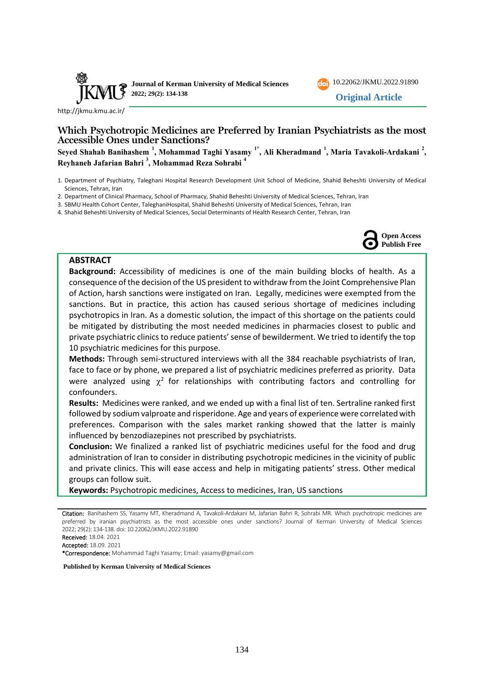



<http://jkmu.kmu.ac.ir/>

# **Which Psychotropic Medicines are Preferred by Iranian Psychiatrists as the most Accessible Ones under Sanctions?**

**Seyed Shahab Banihashem <sup>1</sup> , Mohammad Taghi Yasamy 1\*, Ali Kheradmand <sup>1</sup> , Maria Tavakoli-Ardakani <sup>2</sup> , Reyhaneh Jafarian Bahri <sup>3</sup> , Mohammad Reza Sohrabi <sup>4</sup>**

- 1. Department of Psychiatry, Taleghani Hospital Research Development Unit School of Medicine, Shahid Beheshti University of Medical Sciences, Tehran, Iran
- 2. Department of Clinical Pharmacy, School of Pharmacy, Shahid Beheshti University of Medical Sciences, Tehran, Iran
- 3. SBMU Health Cohort Center, TaleghaniHospital, Shahid Beheshti University of Medical Sciences, Tehran, Iran
- 4. Shahid Beheshti University of Medical Sciences, Social Determinants of Health Research Center, Tehran, Iran



## **ABSTRACT**

**Background:** Accessibility of medicines is one of the main building blocks of health. As a consequence of the decision of the US president to withdraw from the Joint Comprehensive Plan of Action, harsh sanctions were instigated on Iran. Legally, medicines were exempted from the sanctions. But in practice, this action has caused serious shortage of medicines including psychotropics in Iran. As a domestic solution, the impact of this shortage on the patients could be mitigated by distributing the most needed medicines in pharmacies closest to public and private psychiatric clinics to reduce patients' sense of bewilderment. We tried to identify the top 10 psychiatric medicines for this purpose.

**Methods:** Through semi-structured interviews with all the 384 reachable psychiatrists of Iran, face to face or by phone, we prepared a list of psychiatric medicines preferred as priority. Data were analyzed using  $\chi^2$  for relationships with contributing factors and controlling for confounders.

**Results:** Medicines were ranked, and we ended up with a final list of ten. Sertraline ranked first followed by sodium valproate and risperidone. Age and years of experience were correlated with preferences. Comparison with the sales market ranking showed that the latter is mainly influenced by benzodiazepines not prescribed by psychiatrists.

**Conclusion:** We finalized a ranked list of psychiatric medicines useful for the food and drug administration of Iran to consider in distributing psychotropic medicines in the vicinity of public and private clinics. This will ease access and help in mitigating patients' stress. Other medical groups can follow suit.

**Keywords:** Psychotropic medicines, Access to medicines, Iran, US sanctions

- Received: 18.04. 2021
- Accepted: 18.09. 2021

\*Correspondence: Mohammad Taghi Yasamy; Email: yasamy@gmail.com

**Published by Kerman University of Medical Sciences**

Citation: Banihashem SS, Yasamy MT, Kheradmand A, Tavakoli-Ardakani M, Jafarian Bahri R, Sohrabi MR. Which psychotropic medicines are preferred by iranian psychiatrists as the most accessible ones under sanctions? Journal of Kerman University of Medical Sciences 2022; 29(2): 134-138. doi: [10.22062/JKMU.2022.91890](https://dx.doi.org/10.22062/jkmu.2022.91890)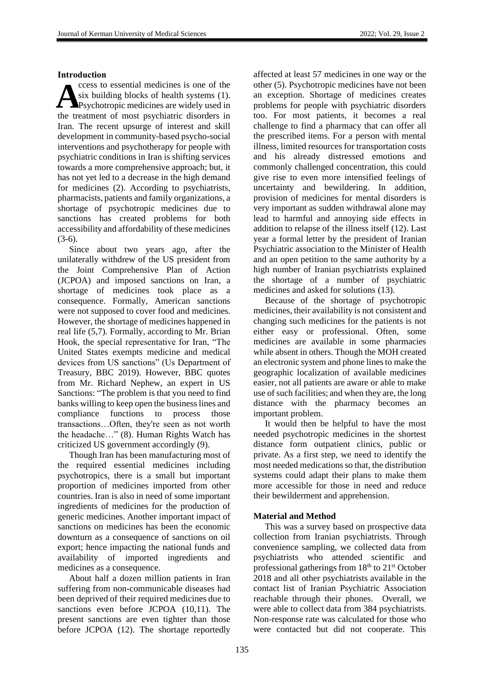### **Introduction**

ccess to essential medicines is one of the six building blocks of health systems (1). Psychotropic medicines are widely used in the treatment of most psychiatric disorders in Iran. The recent upsurge of interest and skill development in community-based psycho-social interventions and psychotherapy for people with psychiatric conditions in Iran is shifting services towards a more comprehensive approach; but, it has not yet led to a decrease in the high demand for medicines (2). According to psychiatrists, pharmacists, patients and family organizations, a shortage of psychotropic medicines due to sanctions has created problems for both accessibility and affordability of these medicines (3-6).  $A$ <sup>s</sup>

Since about two years ago, after the unilaterally withdrew of the US president from the Joint Comprehensive Plan of Action (JCPOA) and imposed sanctions on Iran, a shortage of medicines took place as a consequence. Formally, American sanctions were not supposed to cover food and medicines. However, the shortage of medicines happened in real life (5,7). Formally, according to Mr. Brian Hook, the special representative for Iran, "The United States exempts medicine and medical devices from US sanctions" (Us Department of Treasury, BBC 2019). However, BBC quotes from Mr. Richard Nephew, an expert in US Sanctions: "The problem is that you need to find banks willing to keep open the business lines and compliance functions to process those transactions…Often, they're seen as not worth the headache…" (8). Human Rights Watch has criticized US government accordingly (9).

Though Iran has been manufacturing most of the required essential medicines including psychotropics, there is a small but important proportion of medicines imported from other countries. Iran is also in need of some important ingredients of medicines for the production of generic medicines. Another important impact of sanctions on medicines has been the economic downturn as a consequence of sanctions on oil export; hence impacting the national funds and availability of imported ingredients and medicines as a consequence.

About half a dozen million patients in Iran suffering from non-communicable diseases had been deprived of their required medicines due to sanctions even before JCPOA (10,11). The present sanctions are even tighter than those before JCPOA (12). The shortage reportedly affected at least 57 medicines in one way or the other (5). Psychotropic medicines have not been an exception. Shortage of medicines creates problems for people with psychiatric disorders too. For most patients, it becomes a real challenge to find a pharmacy that can offer all the prescribed items. For a person with mental illness, limited resources for transportation costs and his already distressed emotions and commonly challenged concentration, this could give rise to even more intensified feelings of uncertainty and bewildering. In addition, provision of medicines for mental disorders is very important as sudden withdrawal alone may lead to harmful and annoying side effects in addition to relapse of the illness itself (12). Last year a formal letter by the president of Iranian Psychiatric association to the Minister of Health and an open petition to the same authority by a high number of Iranian psychiatrists explained the shortage of a number of psychiatric medicines and asked for solutions (13).

Because of the shortage of psychotropic medicines, their availability is not consistent and changing such medicines for the patients is not either easy or professional. Often, some medicines are available in some pharmacies while absent in others. Though the MOH created an electronic system and phone lines to make the geographic localization of available medicines easier, not all patients are aware or able to make use of such facilities; and when they are, the long distance with the pharmacy becomes an important problem.

It would then be helpful to have the most needed psychotropic medicines in the shortest distance form outpatient clinics, public or private. As a first step, we need to identify the most needed medications so that, the distribution systems could adapt their plans to make them more accessible for those in need and reduce their bewilderment and apprehension.

## **Material and Method**

This was a survey based on prospective data collection from Iranian psychiatrists. Through convenience sampling, we collected data from psychiatrists who attended scientific and professional gatherings from  $18<sup>th</sup>$  to  $21<sup>st</sup>$  October 2018 and all other psychiatrists available in the contact list of Iranian Psychiatric Association reachable through their phones. Overall, we were able to collect data from 384 psychiatrists. Non-response rate was calculated for those who were contacted but did not cooperate. This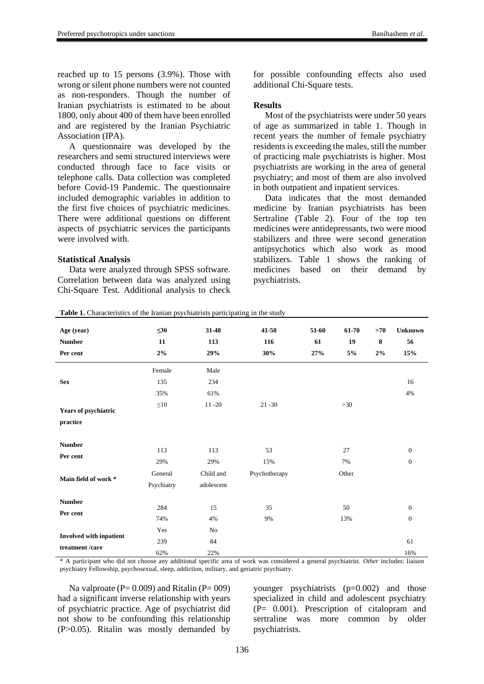reached up to 15 persons (3.9%). Those with wrong or silent phone numbers were not counted as non-responders. Though the number of Iranian psychiatrists is estimated to be about 1800, only about 400 of them have been enrolled and are registered by the Iranian Psychiatric Association (IPA).

A questionnaire was developed by the researchers and semi structured interviews were conducted through face to face visits or telephone calls. Data collection was completed before Covid-19 Pandemic. The questionnaire included demographic variables in addition to the first five choices of psychiatric medicines. There were additional questions on different aspects of psychiatric services the participants were involved with.

#### **Statistical Analysis**

Data were analyzed through SPSS software. Correlation between data was analyzed using Chi-Square Test. Additional analysis to check

Table 1. Characteristics of the Iranian psychiatrists participating in the study

for possible confounding effects also used additional Chi-Square tests.

### **Results**

Most of the psychiatrists were under 50 years of age as summarized in table 1. Though in recent years the number of female psychiatry residents is exceeding the males, still the number of practicing male psychiatrists is higher. Most psychiatrists are working in the area of general psychiatry; and most of them are also involved in both outpatient and inpatient services.

Data indicates that the most demanded medicine by Iranian psychiatrists has been Sertraline (Table 2). Four of the top ten medicines were antidepressants, two were mood stabilizers and three were second generation antipsychotics which also work as mood stabilizers. Table 1 shows the ranking of medicines based on their demand by psychiatrists.

| Age (year)              | $\leq 30$  | $31-40$    | 41-50         | 51-60 | 61-70 | >70 | <b>Unknown</b> |
|-------------------------|------------|------------|---------------|-------|-------|-----|----------------|
| <b>Number</b>           | 11         | 113        | 116           | 61    | 19    | 8   | 56             |
| Per cent                | 2%         | 29%        | 30%           | 27%   | 5%    | 2%  | 15%            |
|                         | Female     | Male       |               |       |       |     |                |
| <b>Sex</b>              | 135        | 234        |               |       |       |     | 16             |
|                         | 35%        | 61%        |               |       |       |     | 4%             |
| Years of psychiatric    | ${\leq}10$ | $11 - 20$  | $21 - 30$     |       | $>30$ |     |                |
| practice                |            |            |               |       |       |     |                |
| <b>Number</b>           |            |            |               |       |       |     |                |
| Per cent                | 113        | 113        | 53            |       | 27    |     | $\mathbf{0}$   |
|                         | 29%        | 29%        | 15%           |       | 7%    |     | $\theta$       |
| Main field of work *    | General    | Child and  | Psychotherapy |       | Other |     |                |
|                         | Psychiatry | adolescent |               |       |       |     |                |
| <b>Number</b>           |            |            |               |       |       |     |                |
| Per cent                | 284        | 15         | 35            |       | 50    |     | $\mathbf{0}$   |
|                         | 74%        | 4%         | 9%            |       | 13%   |     | $\mathbf{0}$   |
| Involved with inpatient | Yes        | No         |               |       |       |     |                |
| treatment /care         | 239        | 84         |               |       |       |     | 61             |
|                         | 62%        | 22%        |               |       |       |     | 16%            |

\* A participant who did not choose any additional specific area of work was considered a general psychiatrist. *Other* includes: liaison psychiatry Fellowship, psychosexual, sleep, addiction, military, and geriatric psychiatry.

Na valproate ( $P= 0.009$ ) and Ritalin ( $P= 009$ ) had a significant inverse relationship with years of psychiatric practice. Age of psychiatrist did not show to be confounding this relationship (P>0.05). Ritalin was mostly demanded by

younger psychiatrists (p=0.002) and those specialized in child and adolescent psychiatry (P= 0.001). Prescription of citalopram and sertraline was more common by older psychiatrists.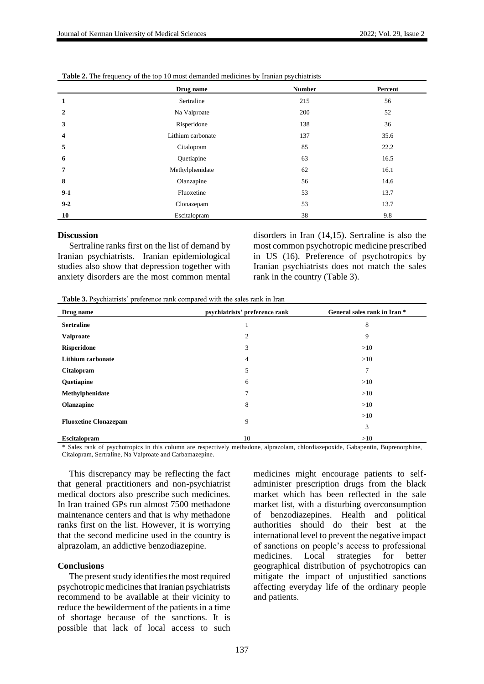|              | Drug name         | <b>Number</b> | Percent |
|--------------|-------------------|---------------|---------|
| 1            | Sertraline        | 215           | 56      |
| $\mathbf{2}$ | Na Valproate      | 200           | 52      |
| 3            | Risperidone       | 138           | 36      |
| 4            | Lithium carbonate | 137           | 35.6    |
| 5            | Citalopram        | 85            | 22.2    |
| 6            | Quetiapine        | 63            | 16.5    |
| 7            | Methylphenidate   | 62            | 16.1    |
| 8            | Olanzapine        | 56            | 14.6    |
| $9-1$        | Fluoxetine        | 53            | 13.7    |
| $9 - 2$      | Clonazepam        | 53            | 13.7    |
| 10           | Escitalopram      | 38            | 9.8     |

| <b>Table 2.</b> The frequency of the top 10 most demanded medicines by Iranian psychiatrists |  |
|----------------------------------------------------------------------------------------------|--|
|----------------------------------------------------------------------------------------------|--|

#### **Discussion**

Sertraline ranks first on the list of demand by Iranian psychiatrists. Iranian epidemiological studies also show that depression together with anxiety disorders are the most common mental disorders in Iran (14,15). Sertraline is also the most common psychotropic medicine prescribed in US (16). Preference of psychotropics by Iranian psychiatrists does not match the sales rank in the country (Table 3).

**Table 3.** Psychiatrists' preference rank compared with the sales rank in Iran

| Drug name                    | psychiatrists' preference rank | General sales rank in Iran * |
|------------------------------|--------------------------------|------------------------------|
| <b>Sertraline</b>            | 1                              | 8                            |
| <b>Valproate</b>             | $\overline{2}$                 | 9                            |
| <b>Risperidone</b>           | 3                              | >10                          |
| <b>Lithium carbonate</b>     | $\overline{4}$                 | >10                          |
| <b>Citalopram</b>            | 5                              | 7                            |
| Quetiapine                   | 6                              | >10                          |
| Methylphenidate              | 7                              | >10                          |
| <b>Olanzapine</b>            | 8                              | >10                          |
|                              | 9                              | >10                          |
| <b>Fluoxetine Clonazepam</b> |                                | 3                            |
| <b>Escitalopram</b>          | 10                             | >10                          |

\* Sales rank of psychotropics in this column are respectively methadone, alprazolam, chlordiazepoxide, Gabapentin, Buprenorphine, Citalopram, Sertraline, Na Valproate and Carbamazepine.

This discrepancy may be reflecting the fact that general practitioners and non-psychiatrist medical doctors also prescribe such medicines. In Iran trained GPs run almost 7500 methadone maintenance centers and that is why methadone ranks first on the list. However, it is worrying that the second medicine used in the country is alprazolam, an addictive benzodiazepine.

#### **Conclusions**

The present study identifies the most required psychotropic medicines that Iranian psychiatrists recommend to be available at their vicinity to reduce the bewilderment of the patients in a time of shortage because of the sanctions. It is possible that lack of local access to such

medicines might encourage patients to selfadminister prescription drugs from the black market which has been reflected in the sale market list, with a disturbing overconsumption of benzodiazepines. Health and political authorities should do their best at the international level to prevent the negative impact of sanctions on people's access to professional medicines. Local strategies for better geographical distribution of psychotropics can mitigate the impact of unjustified sanctions affecting everyday life of the ordinary people and patients.